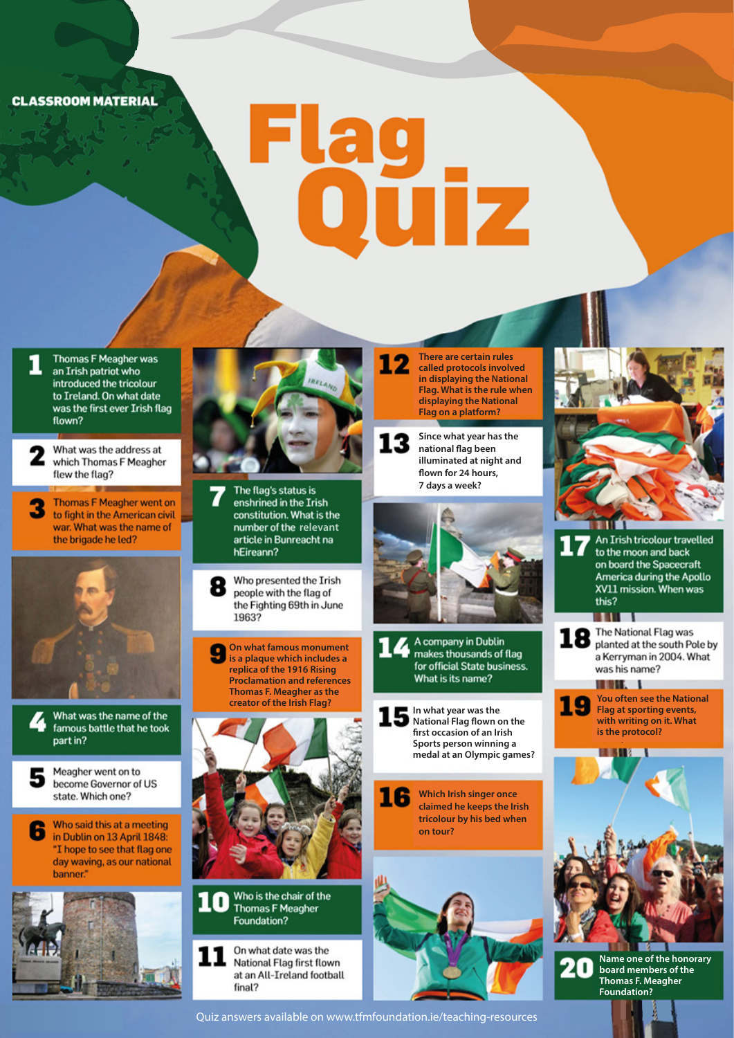**CLASSROOM MATERIAL** 

## Flag<br>Ouiz

12

**There are certain rules called protocols involved in displaying the National Flag. What is the rule when displaying the National Flag on a platform?**

**Since what year has the national flag been illuminated at night and** flown for 24 hours, **7 days a week?**

**In what year was the National Flag flown on the** first occasion of an Irish **Sports person winning a medal at an Olympic games?**

What is its name?

makes thousands of flag

for official State business.

14 A company in Dublin

**Which Irish singer once claimed he keeps the Irish tricolour by his bed when**

**on tour?**

16



**Thomas F Meagher was** an Irish patriot who introduced the tricolour to Ireland. On what date was the first ever Irish flag flown?

What was the address at which Thomas F Meagher flew the flag?

**Thomas F Meagher went on** to fight in the American civil war. What was the name of the brigade he led?





Meagher went on to

become Governor of US state. Which one?

Who said this at a meeting в in Dublin on 13 April 1848: "I hope to see that flag one day waving, as our national hanner"





The flag's status is enshrined in the Irish constitution. What is the **number of the relevant**<br>article in Bunreacht na hEireann?

Who presented the Irish people with the flag of the Fighting 69th in June 1963?

**On what famous monument is a plaque which includes a replica of the 1916 Rising Proclamation and references Thomas F. Meagher as the creator of the Irish Flag?**





On what date was the National Flag first flown at an All-Ireland football final?

Quiz answers available on www.tfmfoundation.ie/teaching-resources



An Irish tricolour travelled to the moon and back on board the Spacecraft America during the Apollo XV11 mission. When was this? **MALL** и

**18** The National Flag was planted at the south Pole by a Kerryman in 2004. What was his name?

. . . **You often see the National Flag at sporting events, with writing on it. What is the protocol?**



**Name one of the honorary** 20 **board members of the Thomas F. Meagher Foundation?**